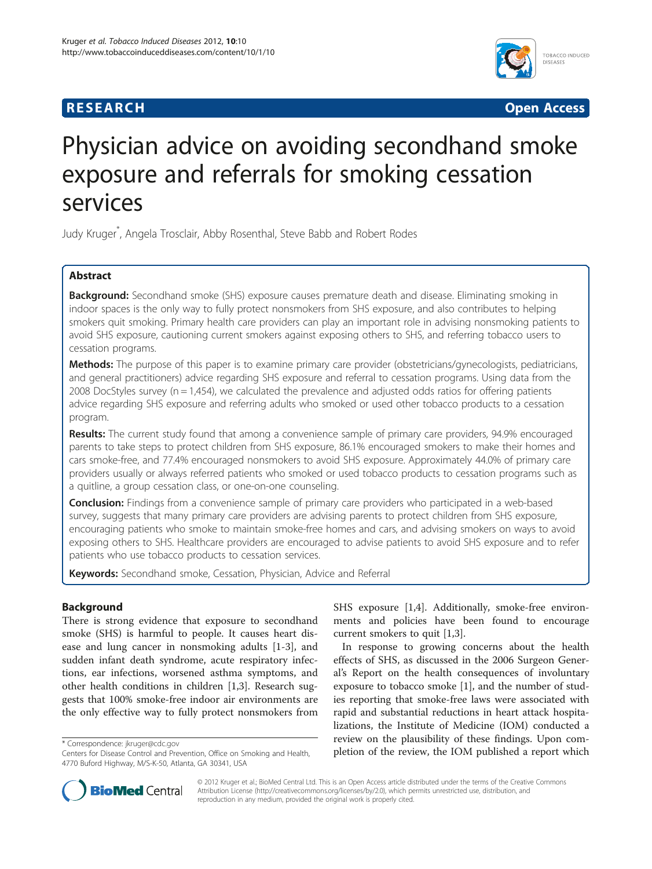## **RESEARCH RESEARCH** *CHECKER CHECKER CHECKER CHECKER CHECKER CHECKER CHECKER CHECKER CHECKER CHECKER CHECKER*



# Physician advice on avoiding secondhand smoke exposure and referrals for smoking cessation services

Judy Kruger\* , Angela Trosclair, Abby Rosenthal, Steve Babb and Robert Rodes

## Abstract

Background: Secondhand smoke (SHS) exposure causes premature death and disease. Eliminating smoking in indoor spaces is the only way to fully protect nonsmokers from SHS exposure, and also contributes to helping smokers quit smoking. Primary health care providers can play an important role in advising nonsmoking patients to avoid SHS exposure, cautioning current smokers against exposing others to SHS, and referring tobacco users to cessation programs.

Methods: The purpose of this paper is to examine primary care provider (obstetricians/gynecologists, pediatricians, and general practitioners) advice regarding SHS exposure and referral to cessation programs. Using data from the 2008 DocStyles survey ( $n = 1,454$ ), we calculated the prevalence and adjusted odds ratios for offering patients advice regarding SHS exposure and referring adults who smoked or used other tobacco products to a cessation program.

Results: The current study found that among a convenience sample of primary care providers, 94.9% encouraged parents to take steps to protect children from SHS exposure, 86.1% encouraged smokers to make their homes and cars smoke-free, and 77.4% encouraged nonsmokers to avoid SHS exposure. Approximately 44.0% of primary care providers usually or always referred patients who smoked or used tobacco products to cessation programs such as a quitline, a group cessation class, or one-on-one counseling.

**Conclusion:** Findings from a convenience sample of primary care providers who participated in a web-based survey, suggests that many primary care providers are advising parents to protect children from SHS exposure, encouraging patients who smoke to maintain smoke-free homes and cars, and advising smokers on ways to avoid exposing others to SHS. Healthcare providers are encouraged to advise patients to avoid SHS exposure and to refer patients who use tobacco products to cessation services.

Keywords: Secondhand smoke, Cessation, Physician, Advice and Referral

## Background

There is strong evidence that exposure to secondhand smoke (SHS) is harmful to people. It causes heart disease and lung cancer in nonsmoking adults [\[1](#page-9-0)-[3\]](#page-9-0), and sudden infant death syndrome, acute respiratory infections, ear infections, worsened asthma symptoms, and other health conditions in children [\[1,3](#page-9-0)]. Research suggests that 100% smoke-free indoor air environments are the only effective way to fully protect nonsmokers from

SHS exposure [[1,4\]](#page-9-0). Additionally, smoke-free environments and policies have been found to encourage current smokers to quit [\[1,3](#page-9-0)].

In response to growing concerns about the health effects of SHS, as discussed in the 2006 Surgeon General's Report on the health consequences of involuntary exposure to tobacco smoke [[1](#page-9-0)], and the number of studies reporting that smoke-free laws were associated with rapid and substantial reductions in heart attack hospitalizations, the Institute of Medicine (IOM) conducted a review on the plausibility of these findings. Upon com\* Correspondence: [jkruger@cdc.gov](mailto:jkruger@cdc.gov)<br>Centers for Disease Control and Prevention, Office on Smoking and Health, pletion of the review, the IOM published a report which



© 2012 Kruger et al.; BioMed Central Ltd. This is an Open Access article distributed under the terms of the Creative Commons Attribution License (<http://creativecommons.org/licenses/by/2.0>), which permits unrestricted use, distribution, and reproduction in any medium, provided the original work is properly cited.

Centers for Disease Control and Prevention, Office on Smoking and Health, 4770 Buford Highway, M/S-K-50, Atlanta, GA 30341, USA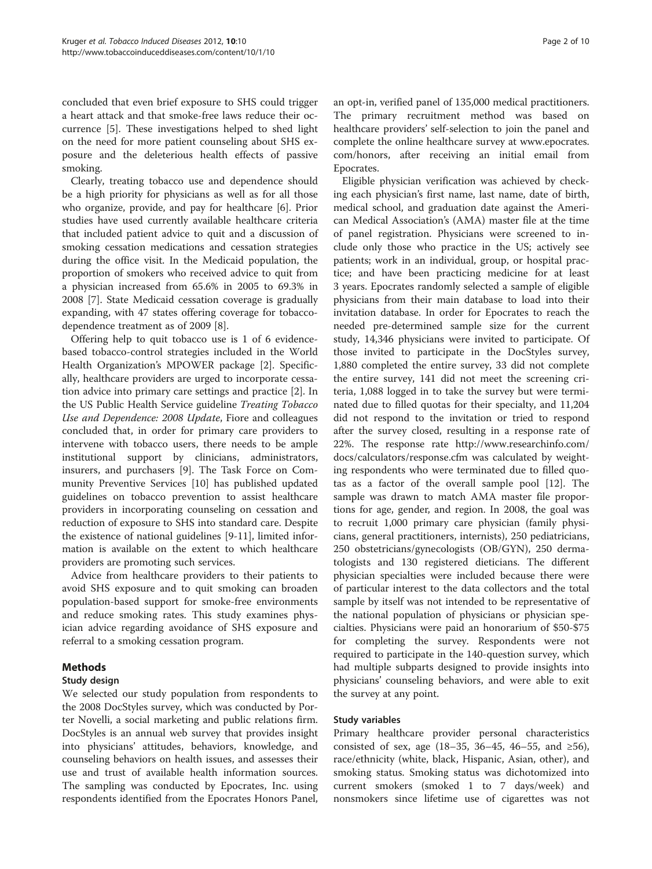concluded that even brief exposure to SHS could trigger a heart attack and that smoke-free laws reduce their occurrence [\[5](#page-9-0)]. These investigations helped to shed light on the need for more patient counseling about SHS exposure and the deleterious health effects of passive smoking.

Clearly, treating tobacco use and dependence should be a high priority for physicians as well as for all those who organize, provide, and pay for healthcare [[6\]](#page-9-0). Prior studies have used currently available healthcare criteria that included patient advice to quit and a discussion of smoking cessation medications and cessation strategies during the office visit. In the Medicaid population, the proportion of smokers who received advice to quit from a physician increased from 65.6% in 2005 to 69.3% in 2008 [\[7](#page-9-0)]. State Medicaid cessation coverage is gradually expanding, with 47 states offering coverage for tobaccodependence treatment as of 2009 [[8\]](#page-9-0).

Offering help to quit tobacco use is 1 of 6 evidencebased tobacco-control strategies included in the World Health Organization's MPOWER package [[2\]](#page-9-0). Specifically, healthcare providers are urged to incorporate cessation advice into primary care settings and practice [[2\]](#page-9-0). In the US Public Health Service guideline Treating Tobacco Use and Dependence: 2008 Update, Fiore and colleagues concluded that, in order for primary care providers to intervene with tobacco users, there needs to be ample institutional support by clinicians, administrators, insurers, and purchasers [\[9](#page-9-0)]. The Task Force on Community Preventive Services [\[10\]](#page-9-0) has published updated guidelines on tobacco prevention to assist healthcare providers in incorporating counseling on cessation and reduction of exposure to SHS into standard care. Despite the existence of national guidelines [[9-11\]](#page-9-0), limited information is available on the extent to which healthcare providers are promoting such services.

Advice from healthcare providers to their patients to avoid SHS exposure and to quit smoking can broaden population-based support for smoke-free environments and reduce smoking rates. This study examines physician advice regarding avoidance of SHS exposure and referral to a smoking cessation program.

## Methods

#### Study design

We selected our study population from respondents to the 2008 DocStyles survey, which was conducted by Porter Novelli, a social marketing and public relations firm. DocStyles is an annual web survey that provides insight into physicians' attitudes, behaviors, knowledge, and counseling behaviors on health issues, and assesses their use and trust of available health information sources. The sampling was conducted by Epocrates, Inc. using respondents identified from the Epocrates Honors Panel,

an opt-in, verified panel of 135,000 medical practitioners. The primary recruitment method was based on healthcare providers' self-selection to join the panel and complete the online healthcare survey at [www.epocrates.](http://www.epocrates.com/honors) [com/honors](http://www.epocrates.com/honors), after receiving an initial email from Epocrates.

Eligible physician verification was achieved by checking each physician's first name, last name, date of birth, medical school, and graduation date against the American Medical Association's (AMA) master file at the time of panel registration. Physicians were screened to include only those who practice in the US; actively see patients; work in an individual, group, or hospital practice; and have been practicing medicine for at least 3 years. Epocrates randomly selected a sample of eligible physicians from their main database to load into their invitation database. In order for Epocrates to reach the needed pre-determined sample size for the current study, 14,346 physicians were invited to participate. Of those invited to participate in the DocStyles survey, 1,880 completed the entire survey, 33 did not complete the entire survey, 141 did not meet the screening criteria, 1,088 logged in to take the survey but were terminated due to filled quotas for their specialty, and 11,204 did not respond to the invitation or tried to respond after the survey closed, resulting in a response rate of 22%. The response rate [http://www.researchinfo.com/](http://www.researchinfo.com/docs/calculators/response.cfm) [docs/calculators/response.cfm](http://www.researchinfo.com/docs/calculators/response.cfm) was calculated by weighting respondents who were terminated due to filled quotas as a factor of the overall sample pool [[12](#page-9-0)]. The sample was drawn to match AMA master file proportions for age, gender, and region. In 2008, the goal was to recruit 1,000 primary care physician (family physicians, general practitioners, internists), 250 pediatricians, 250 obstetricians/gynecologists (OB/GYN), 250 dermatologists and 130 registered dieticians. The different physician specialties were included because there were of particular interest to the data collectors and the total sample by itself was not intended to be representative of the national population of physicians or physician specialties. Physicians were paid an honorarium of \$50-\$75 for completing the survey. Respondents were not required to participate in the 140-question survey, which had multiple subparts designed to provide insights into physicians' counseling behaviors, and were able to exit the survey at any point.

#### Study variables

Primary healthcare provider personal characteristics consisted of sex, age (18–35, 36–45, 46–55, and ≥56), race/ethnicity (white, black, Hispanic, Asian, other), and smoking status. Smoking status was dichotomized into current smokers (smoked 1 to 7 days/week) and nonsmokers since lifetime use of cigarettes was not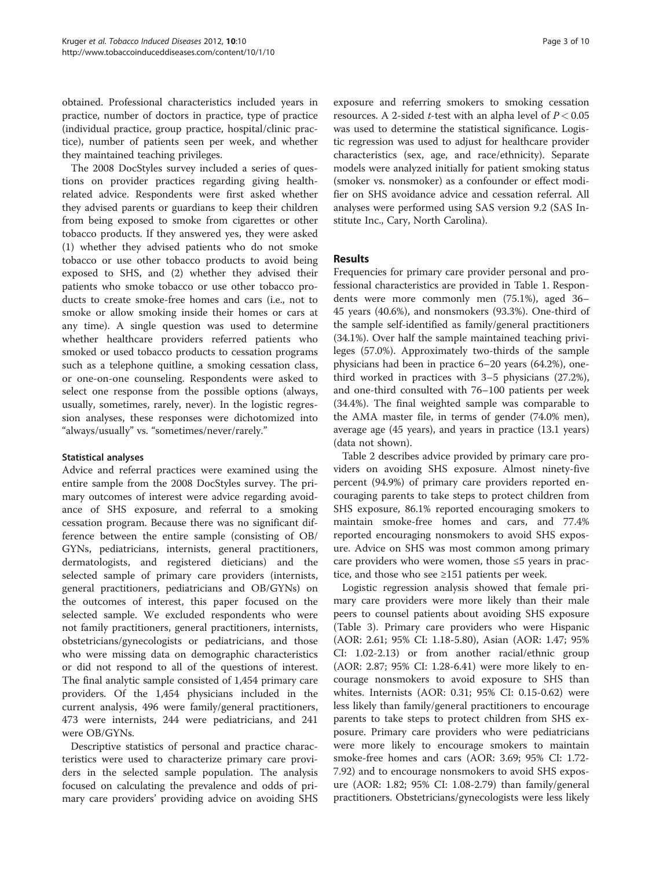obtained. Professional characteristics included years in practice, number of doctors in practice, type of practice (individual practice, group practice, hospital/clinic practice), number of patients seen per week, and whether they maintained teaching privileges.

The 2008 DocStyles survey included a series of questions on provider practices regarding giving healthrelated advice. Respondents were first asked whether they advised parents or guardians to keep their children from being exposed to smoke from cigarettes or other tobacco products. If they answered yes, they were asked (1) whether they advised patients who do not smoke tobacco or use other tobacco products to avoid being exposed to SHS, and (2) whether they advised their patients who smoke tobacco or use other tobacco products to create smoke-free homes and cars (i.e., not to smoke or allow smoking inside their homes or cars at any time). A single question was used to determine whether healthcare providers referred patients who smoked or used tobacco products to cessation programs such as a telephone quitline, a smoking cessation class, or one-on-one counseling. Respondents were asked to select one response from the possible options (always, usually, sometimes, rarely, never). In the logistic regression analyses, these responses were dichotomized into "always/usually" vs. "sometimes/never/rarely."

## Statistical analyses

Advice and referral practices were examined using the entire sample from the 2008 DocStyles survey. The primary outcomes of interest were advice regarding avoidance of SHS exposure, and referral to a smoking cessation program. Because there was no significant difference between the entire sample (consisting of OB/ GYNs, pediatricians, internists, general practitioners, dermatologists, and registered dieticians) and the selected sample of primary care providers (internists, general practitioners, pediatricians and OB/GYNs) on the outcomes of interest, this paper focused on the selected sample. We excluded respondents who were not family practitioners, general practitioners, internists, obstetricians/gynecologists or pediatricians, and those who were missing data on demographic characteristics or did not respond to all of the questions of interest. The final analytic sample consisted of 1,454 primary care providers. Of the 1,454 physicians included in the current analysis, 496 were family/general practitioners, 473 were internists, 244 were pediatricians, and 241 were OB/GYNs.

Descriptive statistics of personal and practice characteristics were used to characterize primary care providers in the selected sample population. The analysis focused on calculating the prevalence and odds of primary care providers' providing advice on avoiding SHS exposure and referring smokers to smoking cessation resources. A 2-sided *t*-test with an alpha level of  $P < 0.05$ was used to determine the statistical significance. Logistic regression was used to adjust for healthcare provider characteristics (sex, age, and race/ethnicity). Separate models were analyzed initially for patient smoking status (smoker vs. nonsmoker) as a confounder or effect modifier on SHS avoidance advice and cessation referral. All analyses were performed using SAS version 9.2 (SAS Institute Inc., Cary, North Carolina).

## Results

Frequencies for primary care provider personal and professional characteristics are provided in Table [1.](#page-3-0) Respondents were more commonly men (75.1%), aged 36– 45 years (40.6%), and nonsmokers (93.3%). One-third of the sample self-identified as family/general practitioners (34.1%). Over half the sample maintained teaching privileges (57.0%). Approximately two-thirds of the sample physicians had been in practice 6–20 years (64.2%), onethird worked in practices with 3–5 physicians (27.2%), and one-third consulted with 76–100 patients per week (34.4%). The final weighted sample was comparable to the AMA master file, in terms of gender (74.0% men), average age (45 years), and years in practice (13.1 years) (data not shown).

Table [2](#page-4-0) describes advice provided by primary care providers on avoiding SHS exposure. Almost ninety-five percent (94.9%) of primary care providers reported encouraging parents to take steps to protect children from SHS exposure, 86.1% reported encouraging smokers to maintain smoke-free homes and cars, and 77.4% reported encouraging nonsmokers to avoid SHS exposure. Advice on SHS was most common among primary care providers who were women, those  $\leq 5$  years in practice, and those who see ≥151 patients per week.

Logistic regression analysis showed that female primary care providers were more likely than their male peers to counsel patients about avoiding SHS exposure (Table [3](#page-5-0)). Primary care providers who were Hispanic (AOR: 2.61; 95% CI: 1.18-5.80), Asian (AOR: 1.47; 95% CI: 1.02-2.13) or from another racial/ethnic group (AOR: 2.87; 95% CI: 1.28-6.41) were more likely to encourage nonsmokers to avoid exposure to SHS than whites. Internists (AOR: 0.31; 95% CI: 0.15-0.62) were less likely than family/general practitioners to encourage parents to take steps to protect children from SHS exposure. Primary care providers who were pediatricians were more likely to encourage smokers to maintain smoke-free homes and cars (AOR: 3.69; 95% CI: 1.72- 7.92) and to encourage nonsmokers to avoid SHS exposure (AOR: 1.82; 95% CI: 1.08-2.79) than family/general practitioners. Obstetricians/gynecologists were less likely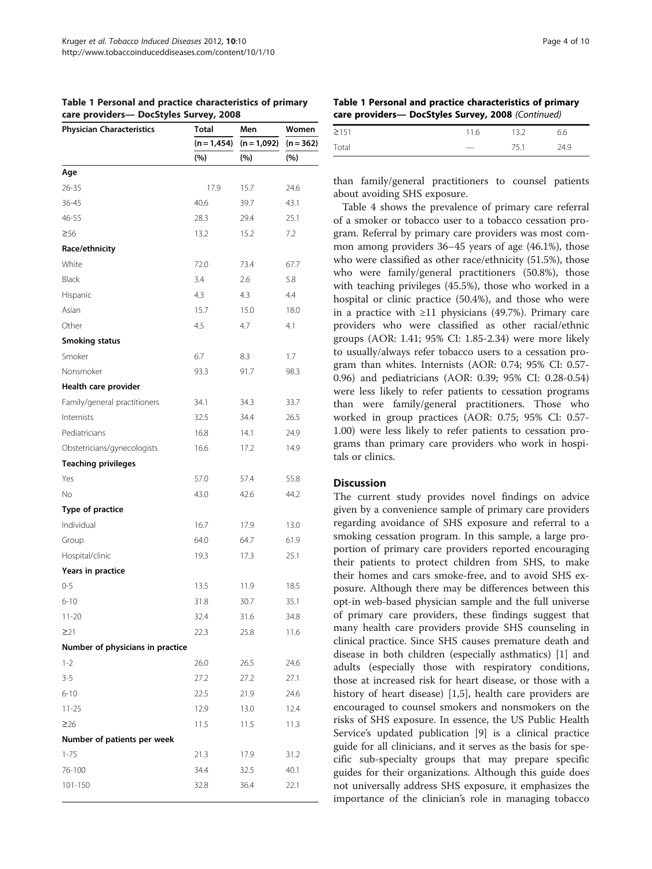<span id="page-3-0"></span>Table 1 Personal and practice characteristics of primary care providers— DocStyles Survey, 2008

| <b>Physician Characteristics</b> | Total          | Men           | Women       |  |
|----------------------------------|----------------|---------------|-------------|--|
|                                  | $(n = 1, 454)$ | $(n = 1,092)$ | $(n = 362)$ |  |
|                                  | (%)            | $(\% )$       | $(\%)$      |  |
| Age                              |                |               |             |  |
| 26-35                            | 17.9           | 15.7          | 24.6        |  |
| 36-45                            | 40.6           | 39.7          | 43.1        |  |
| 46-55                            | 28.3           | 29.4          | 25.1        |  |
| $\geq 56$                        | 13.2           | 15.2          | 7.2         |  |
| Race/ethnicity                   |                |               |             |  |
| White                            | 72.0           | 73.4          | 67.7        |  |
| Black                            | 3.4            | 2.6           | 5.8         |  |
| Hispanic                         | 4.3            | 4.3           | 4.4         |  |
| Asian                            | 15.7           | 15.0          | 18.0        |  |
| Other                            | 4.5            | 4.7           | 4.1         |  |
| <b>Smoking status</b>            |                |               |             |  |
| Smoker                           | 6.7            | 8.3           | 1.7         |  |
| Nonsmoker                        | 93.3           | 91.7          | 98.3        |  |
| Health care provider             |                |               |             |  |
| Family/general practitioners     | 34.1           | 34.3          | 33.7        |  |
| Internists                       | 32.5           | 34.4          | 26.5        |  |
| Pediatricians                    | 16.8           | 14.1          | 24.9        |  |
| Obstetricians/gynecologists      | 16.6           | 17.2          | 14.9        |  |
| <b>Teaching privileges</b>       |                |               |             |  |
| Yes                              | 57.0           | 57.4          | 55.8        |  |
| No                               | 43.0           | 42.6          | 44.2        |  |
| Type of practice                 |                |               |             |  |
| Individual                       | 16.7           | 17.9          | 13.0        |  |
| Group                            | 64.0           | 64.7          | 61.9        |  |
| Hospital/clinic                  | 19.3           | 17.3          | 25.1        |  |
| Years in practice                |                |               |             |  |
| $0 - 5$                          | 13.5           | 11.9          | 18.5        |  |
| $6 - 10$                         | 31.8           | 30.7          | 35.1        |  |
| $11 - 20$                        | 32.4           | 31.6          | 34.8        |  |
| $\geq$ 21                        | 22.3           | 25.8          | 11.6        |  |
| Number of physicians in practice |                |               |             |  |
| $1 - 2$                          | 26.0           | 26.5          | 24.6        |  |
| $3 - 5$                          | 27.2           | 27.2          | 27.1        |  |
| $6 - 10$                         | 22.5           | 21.9          | 24.6        |  |
| $11 - 25$                        | 12.9           | 13.0          | 12.4        |  |
| $\geq$ 26                        | 11.5           | 11.5          | 11.3        |  |
| Number of patients per week      |                |               |             |  |
| $1 - 75$                         | 21.3           | 17.9          | 31.2        |  |
| 76-100                           | 34.4           | 32.5          | 40.1        |  |
| 101-150                          | 32.8           | 36.4          | 22.1        |  |
|                                  |                |               |             |  |

| Table 1 Personal and practice characteristics of primary |
|----------------------------------------------------------|
| care providers- DocStyles Survey, 2008 (Continued)       |

| $\geq$ 151 | 11.6          | 13.2 | 6.6  |
|------------|---------------|------|------|
| Total      | $\frac{1}{2}$ | 75.1 | 24.9 |

than family/general practitioners to counsel patients about avoiding SHS exposure.

Table [4](#page-6-0) shows the prevalence of primary care referral of a smoker or tobacco user to a tobacco cessation program. Referral by primary care providers was most common among providers 36–45 years of age (46.1%), those who were classified as other race/ethnicity (51.5%), those who were family/general practitioners (50.8%), those with teaching privileges (45.5%), those who worked in a hospital or clinic practice (50.4%), and those who were in a practice with ≥11 physicians (49.7%). Primary care providers who were classified as other racial/ethnic groups (AOR: 1.41; 95% CI: 1.85-2.34) were more likely to usually/always refer tobacco users to a cessation program than whites. Internists (AOR: 0.74; 95% CI: 0.57- 0.96) and pediatricians (AOR: 0.39; 95% CI: 0.28-0.54) were less likely to refer patients to cessation programs than were family/general practitioners. Those who worked in group practices (AOR: 0.75; 95% CI: 0.57- 1.00) were less likely to refer patients to cessation programs than primary care providers who work in hospitals or clinics.

## **Discussion**

The current study provides novel findings on advice given by a convenience sample of primary care providers regarding avoidance of SHS exposure and referral to a smoking cessation program. In this sample, a large proportion of primary care providers reported encouraging their patients to protect children from SHS, to make their homes and cars smoke-free, and to avoid SHS exposure. Although there may be differences between this opt-in web-based physician sample and the full universe of primary care providers, these findings suggest that many health care providers provide SHS counseling in clinical practice. Since SHS causes premature death and disease in both children (especially asthmatics) [\[1](#page-9-0)] and adults (especially those with respiratory conditions, those at increased risk for heart disease, or those with a history of heart disease) [[1,5\]](#page-9-0), health care providers are encouraged to counsel smokers and nonsmokers on the risks of SHS exposure. In essence, the US Public Health Service's updated publication [\[9](#page-9-0)] is a clinical practice guide for all clinicians, and it serves as the basis for specific sub-specialty groups that may prepare specific guides for their organizations. Although this guide does not universally address SHS exposure, it emphasizes the importance of the clinician's role in managing tobacco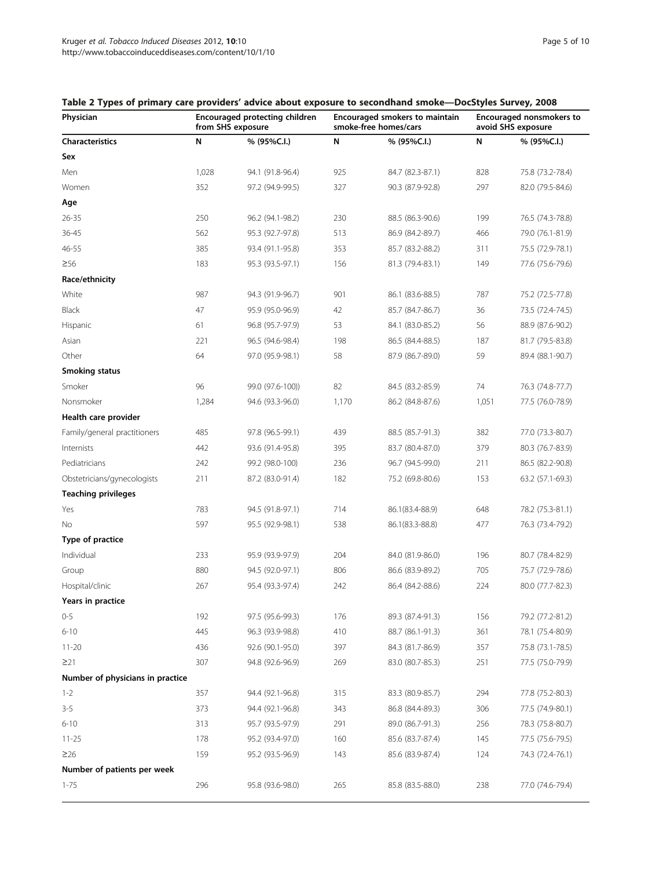| Physician                        | from SHS exposure | Encouraged protecting children |       | Encouraged smokers to maintain<br>smoke-free homes/cars | Encouraged nonsmokers to<br>avoid SHS exposure |                  |  |
|----------------------------------|-------------------|--------------------------------|-------|---------------------------------------------------------|------------------------------------------------|------------------|--|
| <b>Characteristics</b>           | N                 | % (95%C.I.)                    | N     | % (95%C.I.)                                             | N                                              | % (95%C.I.)      |  |
| Sex                              |                   |                                |       |                                                         |                                                |                  |  |
| Men                              | 1,028             | 94.1 (91.8-96.4)               | 925   | 84.7 (82.3-87.1)                                        | 828                                            | 75.8 (73.2-78.4) |  |
| Women                            | 352               | 97.2 (94.9-99.5)               | 327   | 90.3 (87.9-92.8)                                        | 297                                            | 82.0 (79.5-84.6) |  |
| Age                              |                   |                                |       |                                                         |                                                |                  |  |
| $26 - 35$                        | 250               | 96.2 (94.1-98.2)               | 230   | 88.5 (86.3-90.6)                                        | 199                                            | 76.5 (74.3-78.8) |  |
| 36-45                            | 562               | 95.3 (92.7-97.8)               | 513   | 86.9 (84.2-89.7)                                        | 466                                            | 79.0 (76.1-81.9) |  |
| 46-55                            | 385               | 93.4 (91.1-95.8)               | 353   | 85.7 (83.2-88.2)                                        | 311                                            | 75.5 (72.9-78.1) |  |
| $\geq 56$                        | 183               | 95.3 (93.5-97.1)               | 156   | 81.3 (79.4-83.1)                                        | 149                                            | 77.6 (75.6-79.6) |  |
| Race/ethnicity                   |                   |                                |       |                                                         |                                                |                  |  |
| White                            | 987               | 94.3 (91.9-96.7)               | 901   | 86.1 (83.6-88.5)                                        | 787                                            | 75.2 (72.5-77.8) |  |
| Black                            | 47                | 95.9 (95.0-96.9)               | 42    | 85.7 (84.7-86.7)                                        | 36                                             | 73.5 (72.4-74.5) |  |
| Hispanic                         | 61                | 96.8 (95.7-97.9)               | 53    | 84.1 (83.0-85.2)                                        | 56                                             | 88.9 (87.6-90.2) |  |
| Asian                            | 221               | 96.5 (94.6-98.4)               | 198   | 86.5 (84.4-88.5)                                        | 187                                            | 81.7 (79.5-83.8) |  |
| Other                            | 64                | 97.0 (95.9-98.1)               | 58    | 87.9 (86.7-89.0)                                        | 59                                             | 89.4 (88.1-90.7) |  |
| Smoking status                   |                   |                                |       |                                                         |                                                |                  |  |
| Smoker                           | 96                | 99.0 (97.6-100))               | 82    | 84.5 (83.2-85.9)                                        | 74                                             | 76.3 (74.8-77.7) |  |
| Nonsmoker                        | 1,284             | 94.6 (93.3-96.0)               | 1,170 | 86.2 (84.8-87.6)                                        | 1,051                                          | 77.5 (76.0-78.9) |  |
| Health care provider             |                   |                                |       |                                                         |                                                |                  |  |
| Family/general practitioners     | 485               | 97.8 (96.5-99.1)               | 439   | 88.5 (85.7-91.3)                                        | 382                                            | 77.0 (73.3-80.7) |  |
| Internists                       | 442               | 93.6 (91.4-95.8)               | 395   | 83.7 (80.4-87.0)                                        | 379                                            | 80.3 (76.7-83.9) |  |
| Pediatricians                    | 242               | 99.2 (98.0-100)                | 236   | 96.7 (94.5-99.0)                                        | 211                                            | 86.5 (82.2-90.8) |  |
| Obstetricians/gynecologists      | 211               | 87.2 (83.0-91.4)               | 182   | 75.2 (69.8-80.6)                                        | 153                                            | 63.2 (57.1-69.3) |  |
| <b>Teaching privileges</b>       |                   |                                |       |                                                         |                                                |                  |  |
| Yes                              | 783               | 94.5 (91.8-97.1)               | 714   | 86.1(83.4-88.9)                                         | 648                                            | 78.2 (75.3-81.1) |  |
| No                               | 597               | 95.5 (92.9-98.1)               | 538   | 86.1(83.3-88.8)                                         | 477                                            | 76.3 (73.4-79.2) |  |
| Type of practice                 |                   |                                |       |                                                         |                                                |                  |  |
| Individual                       | 233               | 95.9 (93.9-97.9)               | 204   | 84.0 (81.9-86.0)                                        | 196                                            | 80.7 (78.4-82.9) |  |
| Group                            | 880               | 94.5 (92.0-97.1)               | 806   | 86.6 (83.9-89.2)                                        | 705                                            | 75.7 (72.9-78.6) |  |
| Hospital/clinic                  | 267               | 95.4 (93.3-97.4)               | 242   | 86.4 (84.2-88.6)                                        | 224                                            | 80.0 (77.7-82.3) |  |
| Years in practice                |                   |                                |       |                                                         |                                                |                  |  |
| $0 - 5$                          | 192               | 97.5 (95.6-99.3)               | 176   | 89.3 (87.4-91.3)                                        | 156                                            | 79.2 (77.2-81.2) |  |
| $6 - 10$                         | 445               | 96.3 (93.9-98.8)               | 410   | 88.7 (86.1-91.3)                                        | 361                                            | 78.1 (75.4-80.9) |  |
| $11 - 20$                        | 436               | 92.6 (90.1-95.0)               | 397   | 84.3 (81.7-86.9)                                        | 357                                            | 75.8 (73.1-78.5) |  |
| $\geq$ 21                        | 307               | 94.8 (92.6-96.9)               | 269   | 83.0 (80.7-85.3)                                        | 251                                            | 77.5 (75.0-79.9) |  |
| Number of physicians in practice |                   |                                |       |                                                         |                                                |                  |  |
| $1 - 2$                          | 357               | 94.4 (92.1-96.8)               | 315   | 83.3 (80.9-85.7)                                        | 294                                            | 77.8 (75.2-80.3) |  |
| $3 - 5$                          | 373               | 94.4 (92.1-96.8)               | 343   | 86.8 (84.4-89.3)                                        | 306                                            | 77.5 (74.9-80.1) |  |
| $6 - 10$                         | 313               | 95.7 (93.5-97.9)               | 291   | 89.0 (86.7-91.3)                                        | 256                                            | 78.3 (75.8-80.7) |  |
| $11 - 25$                        | 178               | 95.2 (93.4-97.0)               | 160   | 85.6 (83.7-87.4)                                        | 145                                            | 77.5 (75.6-79.5) |  |
| $\geq$ 26                        | 159               | 95.2 (93.5-96.9)               | 143   | 85.6 (83.9-87.4)                                        | 124                                            | 74.3 (72.4-76.1) |  |
| Number of patients per week      |                   |                                |       |                                                         |                                                |                  |  |
| $1 - 75$                         | 296               | 95.8 (93.6-98.0)               | 265   | 85.8 (83.5-88.0)                                        | 238                                            | 77.0 (74.6-79.4) |  |

## <span id="page-4-0"></span>Table 2 Types of primary care providers' advice about exposure to secondhand smoke—DocStyles Survey, 2008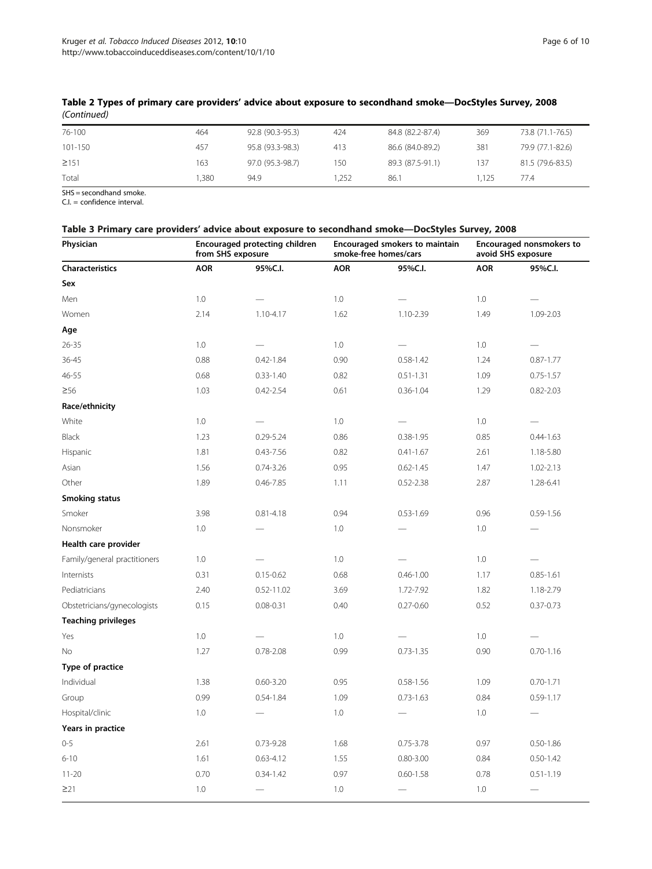| $\mathcal{L}$ |       |                  |       |                  |       |                  |  |
|---------------|-------|------------------|-------|------------------|-------|------------------|--|
| 76-100        | 464   | 92.8 (90.3-95.3) | 424   | 84.8 (82.2-87.4) | 369   | 73.8 (71.1-76.5) |  |
| 101-150       | 457   | 95.8 (93.3-98.3) | 413   | 86.6 (84.0-89.2) | 381   | 79.9 (77.1-82.6) |  |
| ≥151          | 163   | 97.0 (95.3-98.7) | 150   | 89.3 (87.5-91.1) | 137   | 81.5 (79.6-83.5) |  |
| Total         | 1.380 | 94.9             | 1.252 | 86.1             | 1.125 | 77.4             |  |

<span id="page-5-0"></span>Table 2 Types of primary care providers' advice about exposure to secondhand smoke—DocStyles Survey, 2008 (Continued)

SHS = secondhand smoke.

C.I. = confidence interval.

## Table 3 Primary care providers' advice about exposure to secondhand smoke—DocStyles Survey, 2008

| Physician                    | from SHS exposure | Encouraged protecting children |            | Encouraged smokers to maintain<br>smoke-free homes/cars | Encouraged nonsmokers to<br>avoid SHS exposure |               |  |
|------------------------------|-------------------|--------------------------------|------------|---------------------------------------------------------|------------------------------------------------|---------------|--|
| <b>Characteristics</b>       | <b>AOR</b>        | 95%C.I.                        | <b>AOR</b> | 95%C.I.                                                 | <b>AOR</b>                                     | 95%C.I.       |  |
| Sex                          |                   |                                |            |                                                         |                                                |               |  |
| Men                          | 1.0               |                                | 1.0        |                                                         | 1.0                                            |               |  |
| Women                        | 2.14              | 1.10-4.17                      | 1.62       | 1.10-2.39                                               | 1.49                                           | 1.09-2.03     |  |
| Age                          |                   |                                |            |                                                         |                                                |               |  |
| $26 - 35$                    | 1.0               |                                | 1.0        |                                                         | 1.0                                            |               |  |
| 36-45                        | 0.88              | $0.42 - 1.84$                  | 0.90       | $0.58 - 1.42$                                           | 1.24                                           | $0.87 - 1.77$ |  |
| 46-55                        | 0.68              | $0.33 - 1.40$                  | 0.82       | $0.51 - 1.31$                                           | 1.09                                           | $0.75 - 1.57$ |  |
| $\geq 56$                    | 1.03              | $0.42 - 2.54$                  | 0.61       | $0.36 - 1.04$                                           | 1.29                                           | $0.82 - 2.03$ |  |
| Race/ethnicity               |                   |                                |            |                                                         |                                                |               |  |
| White                        | 1.0               |                                | 1.0        |                                                         | 1.0                                            |               |  |
| Black                        | 1.23              | $0.29 - 5.24$                  | 0.86       | $0.38 - 1.95$                                           | 0.85                                           | $0.44 - 1.63$ |  |
| Hispanic                     | 1.81              | $0.43 - 7.56$                  | 0.82       | $0.41 - 1.67$                                           | 2.61                                           | 1.18-5.80     |  |
| Asian                        | 1.56              | $0.74 - 3.26$                  | 0.95       | $0.62 - 1.45$                                           | 1.47                                           | $1.02 - 2.13$ |  |
| Other                        | 1.89              | $0.46 - 7.85$                  | 1.11       | $0.52 - 2.38$                                           | 2.87                                           | 1.28-6.41     |  |
| <b>Smoking status</b>        |                   |                                |            |                                                         |                                                |               |  |
| Smoker                       | 3.98              | $0.81 - 4.18$                  | 0.94       | $0.53 - 1.69$                                           | 0.96                                           | $0.59 - 1.56$ |  |
| Nonsmoker                    | 1.0               |                                | 1.0        |                                                         | 1.0                                            |               |  |
| Health care provider         |                   |                                |            |                                                         |                                                |               |  |
| Family/general practitioners | 1.0               |                                | 1.0        |                                                         | 1.0                                            |               |  |
| Internists                   | 0.31              | $0.15 - 0.62$                  | 0.68       | $0.46 - 1.00$                                           | 1.17                                           | $0.85 - 1.61$ |  |
| Pediatricians                | 2.40              | $0.52 - 11.02$                 | 3.69       | 1.72-7.92                                               | 1.82                                           | 1.18-2.79     |  |
| Obstetricians/gynecologists  | 0.15              | $0.08 - 0.31$                  | 0.40       | $0.27 - 0.60$                                           | 0.52                                           | $0.37 - 0.73$ |  |
| <b>Teaching privileges</b>   |                   |                                |            |                                                         |                                                |               |  |
| Yes                          | 1.0               |                                | 1.0        |                                                         | 1.0                                            |               |  |
| <b>No</b>                    | 1.27              | $0.78 - 2.08$                  | 0.99       | $0.73 - 1.35$                                           | 0.90                                           | $0.70 - 1.16$ |  |
| Type of practice             |                   |                                |            |                                                         |                                                |               |  |
| Individual                   | 1.38              | $0.60 - 3.20$                  | 0.95       | $0.58 - 1.56$                                           | 1.09                                           | $0.70 - 1.71$ |  |
| Group                        | 0.99              | $0.54 - 1.84$                  | 1.09       | $0.73 - 1.63$                                           | 0.84                                           | $0.59 - 1.17$ |  |
| Hospital/clinic              | 1.0               |                                | 1.0        | $\overline{\phantom{0}}$                                | 1.0                                            |               |  |
| Years in practice            |                   |                                |            |                                                         |                                                |               |  |
| $0 - 5$                      | 2.61              | 0.73-9.28                      | 1.68       | $0.75 - 3.78$                                           | 0.97                                           | $0.50 - 1.86$ |  |
| $6 - 10$                     | 1.61              | $0.63 - 4.12$                  | 1.55       | $0.80 - 3.00$                                           | 0.84                                           | $0.50 - 1.42$ |  |
| $11 - 20$                    | 0.70              | $0.34 - 1.42$                  | 0.97       | $0.60 - 1.58$                                           | 0.78                                           | $0.51 - 1.19$ |  |
| $\geq$ 21                    | 1.0               | $\overline{\phantom{0}}$       | 1.0        | $\overline{\phantom{0}}$                                | 1.0                                            | $\equiv$      |  |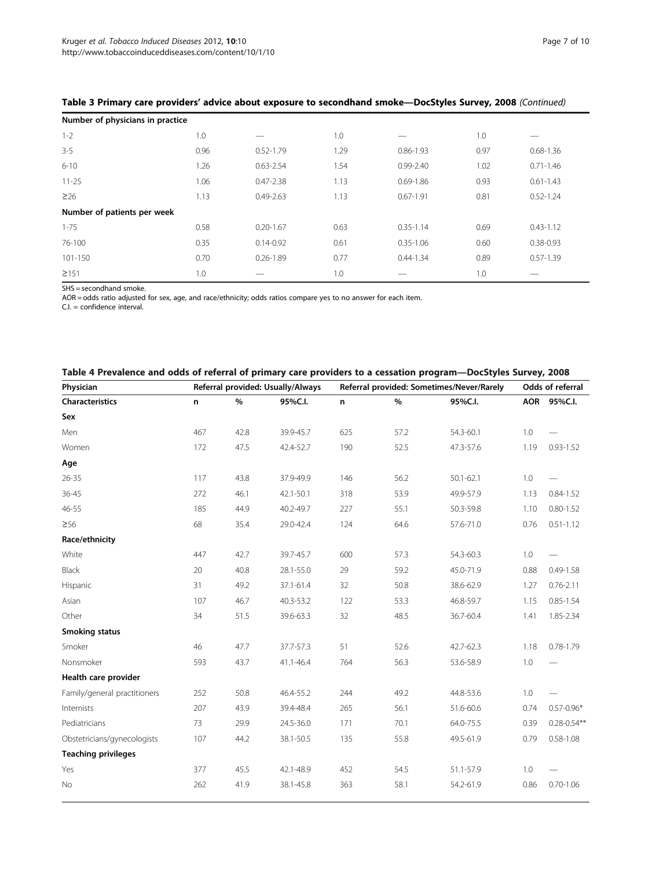| Number of physicians in practice |      |               |      |               |      |               |  |  |  |
|----------------------------------|------|---------------|------|---------------|------|---------------|--|--|--|
| $1 - 2$                          | 1.0  |               | 1.0  |               | 1.0  |               |  |  |  |
| $3 - 5$                          | 0.96 | $0.52 - 1.79$ | 1.29 | $0.86 - 1.93$ | 0.97 | $0.68 - 1.36$ |  |  |  |
| $6 - 10$                         | 1.26 | $0.63 - 2.54$ | 1.54 | $0.99 - 2.40$ | 1.02 | $0.71 - 1.46$ |  |  |  |
| $11 - 25$                        | 1.06 | $0.47 - 2.38$ | 1.13 | $0.69 - 1.86$ | 0.93 | $0.61 - 1.43$ |  |  |  |
| $\geq$ 26                        | 1.13 | $0.49 - 2.63$ | 1.13 | $0.67 - 1.91$ | 0.81 | $0.52 - 1.24$ |  |  |  |
| Number of patients per week      |      |               |      |               |      |               |  |  |  |
| $1 - 75$                         | 0.58 | $0.20 - 1.67$ | 0.63 | $0.35 - 1.14$ | 0.69 | $0.43 - 1.12$ |  |  |  |
| 76-100                           | 0.35 | $0.14 - 0.92$ | 0.61 | $0.35 - 1.06$ | 0.60 | $0.38 - 0.93$ |  |  |  |
| 101-150                          | 0.70 | $0.26 - 1.89$ | 0.77 | $0.44 - 1.34$ | 0.89 | $0.57 - 1.39$ |  |  |  |
| $\geq$ 151                       | 1.0  |               | 1.0  |               | 1.0  |               |  |  |  |

## <span id="page-6-0"></span>Table 3 Primary care providers' advice about exposure to secondhand smoke—DocStyles Survey, 2008 (Continued)

SHS = secondhand smoke.

AOR = odds ratio adjusted for sex, age, and race/ethnicity; odds ratios compare yes to no answer for each item.

C.I. = confidence interval.

| Physician                    | Referral provided: Usually/Always |      |           | Referral provided: Sometimes/Never/Rarely |      |               | Odds of referral |                 |
|------------------------------|-----------------------------------|------|-----------|-------------------------------------------|------|---------------|------------------|-----------------|
| Characteristics              | n                                 | $\%$ | 95%C.I.   | n                                         | $\%$ | 95%C.I.       | AOR              | 95%C.I.         |
| Sex                          |                                   |      |           |                                           |      |               |                  |                 |
| Men                          | 467                               | 42.8 | 39.9-45.7 | 625                                       | 57.2 | 54.3-60.1     | 1.0              |                 |
| Women                        | 172                               | 47.5 | 42.4-52.7 | 190                                       | 52.5 | 47.3-57.6     | 1.19             | $0.93 - 1.52$   |
| Age                          |                                   |      |           |                                           |      |               |                  |                 |
| $26 - 35$                    | 117                               | 43.8 | 37.9-49.9 | 146                                       | 56.2 | $50.1 - 62.1$ | 1.0              | $\equiv$        |
| 36-45                        | 272                               | 46.1 | 42.1-50.1 | 318                                       | 53.9 | 49.9-57.9     | 1.13             | $0.84 - 1.52$   |
| 46-55                        | 185                               | 44.9 | 40.2-49.7 | 227                                       | 55.1 | 50.3-59.8     | 1.10             | $0.80 - 1.52$   |
| $\geq 56$                    | 68                                | 35.4 | 29.0-42.4 | 124                                       | 64.6 | 57.6-71.0     | 0.76             | $0.51 - 1.12$   |
| Race/ethnicity               |                                   |      |           |                                           |      |               |                  |                 |
| White                        | 447                               | 42.7 | 39.7-45.7 | 600                                       | 57.3 | 54.3-60.3     | 1.0              |                 |
| Black                        | 20                                | 40.8 | 28.1-55.0 | 29                                        | 59.2 | 45.0-71.9     | 0.88             | $0.49 - 1.58$   |
| Hispanic                     | 31                                | 49.2 | 37.1-61.4 | 32                                        | 50.8 | 38.6-62.9     | 1.27             | $0.76 - 2.11$   |
| Asian                        | 107                               | 46.7 | 40.3-53.2 | 122                                       | 53.3 | 46.8-59.7     | 1.15             | $0.85 - 1.54$   |
| Other                        | 34                                | 51.5 | 39.6-63.3 | 32                                        | 48.5 | 36.7-60.4     | 1.41             | 1.85-2.34       |
| Smoking status               |                                   |      |           |                                           |      |               |                  |                 |
| Smoker                       | 46                                | 47.7 | 37.7-57.3 | 51                                        | 52.6 | 42.7-62.3     | 1.18             | $0.78 - 1.79$   |
| Nonsmoker                    | 593                               | 43.7 | 41.1-46.4 | 764                                       | 56.3 | 53.6-58.9     | 1.0              |                 |
| Health care provider         |                                   |      |           |                                           |      |               |                  |                 |
| Family/general practitioners | 252                               | 50.8 | 46.4-55.2 | 244                                       | 49.2 | 44.8-53.6     | 1.0              |                 |
| Internists                   | 207                               | 43.9 | 39.4-48.4 | 265                                       | 56.1 | 51.6-60.6     | 0.74             | $0.57 - 0.96*$  |
| Pediatricians                | 73                                | 29.9 | 24.5-36.0 | 171                                       | 70.1 | 64.0-75.5     | 0.39             | $0.28 - 0.54**$ |
| Obstetricians/gynecologists  | 107                               | 44.2 | 38.1-50.5 | 135                                       | 55.8 | 49.5-61.9     | 0.79             | $0.58 - 1.08$   |
| <b>Teaching privileges</b>   |                                   |      |           |                                           |      |               |                  |                 |
| Yes                          | 377                               | 45.5 | 42.1-48.9 | 452                                       | 54.5 | 51.1-57.9     | 1.0              |                 |
| No                           | 262                               | 41.9 | 38.1-45.8 | 363                                       | 58.1 | 54.2-61.9     | 0.86             | $0.70 - 1.06$   |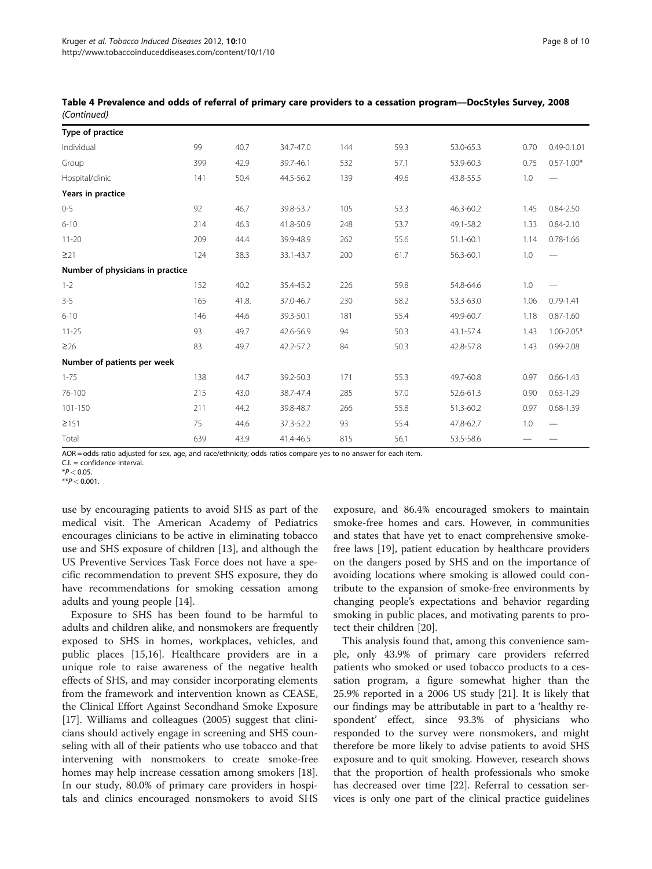| Type of practice                 |     |       |           |     |      |           |      |                 |
|----------------------------------|-----|-------|-----------|-----|------|-----------|------|-----------------|
| Individual                       | 99  | 40.7  | 34.7-47.0 | 144 | 59.3 | 53.0-65.3 | 0.70 | $0.49 - 0.1.01$ |
| Group                            | 399 | 42.9  | 39.7-46.1 | 532 | 57.1 | 53.9-60.3 | 0.75 | $0.57 - 1.00*$  |
| Hospital/clinic                  | 141 | 50.4  | 44.5-56.2 | 139 | 49.6 | 43.8-55.5 | 1.0  |                 |
| Years in practice                |     |       |           |     |      |           |      |                 |
| $0 - 5$                          | 92  | 46.7  | 39.8-53.7 | 105 | 53.3 | 46.3-60.2 | 1.45 | $0.84 - 2.50$   |
| $6 - 10$                         | 214 | 46.3  | 41.8-50.9 | 248 | 53.7 | 49.1-58.2 | 1.33 | $0.84 - 2.10$   |
| $11 - 20$                        | 209 | 44.4  | 39.9-48.9 | 262 | 55.6 | 51.1-60.1 | 1.14 | $0.78 - 1.66$   |
| $\geq$ 21                        | 124 | 38.3  | 33.1-43.7 | 200 | 61.7 | 56.3-60.1 | 1.0  |                 |
| Number of physicians in practice |     |       |           |     |      |           |      |                 |
| $1 - 2$                          | 152 | 40.2  | 35.4-45.2 | 226 | 59.8 | 54.8-64.6 | 1.0  |                 |
| $3 - 5$                          | 165 | 41.8. | 37.0-46.7 | 230 | 58.2 | 53.3-63.0 | 1.06 | $0.79 - 1.41$   |
| $6 - 10$                         | 146 | 44.6  | 39.3-50.1 | 181 | 55.4 | 49.9-60.7 | 1.18 | $0.87 - 1.60$   |
| $11 - 25$                        | 93  | 49.7  | 42.6-56.9 | 94  | 50.3 | 43.1-57.4 | 1.43 | $1.00 - 2.05*$  |
| $\geq$ 26                        | 83  | 49.7  | 42.2-57.2 | 84  | 50.3 | 42.8-57.8 | 1.43 | $0.99 - 2.08$   |
| Number of patients per week      |     |       |           |     |      |           |      |                 |
| $1 - 75$                         | 138 | 44.7  | 39.2-50.3 | 171 | 55.3 | 49.7-60.8 | 0.97 | $0.66 - 1.43$   |
| 76-100                           | 215 | 43.0  | 38.7-47.4 | 285 | 57.0 | 52.6-61.3 | 0.90 | $0.63 - 1.29$   |
| 101-150                          | 211 | 44.2  | 39.8-48.7 | 266 | 55.8 | 51.3-60.2 | 0.97 | $0.68 - 1.39$   |
| $\geq$ 151                       | 75  | 44.6  | 37.3-52.2 | 93  | 55.4 | 47.8-62.7 | 1.0  |                 |
| Total                            | 639 | 43.9  | 41.4-46.5 | 815 | 56.1 | 53.5-58.6 |      |                 |

Table 4 Prevalence and odds of referral of primary care providers to a cessation program—DocStyles Survey, 2008 (Continued)

AOR = odds ratio adjusted for sex, age, and race/ethnicity; odds ratios compare yes to no answer for each item.

C.I. = confidence interval.

 $*P < 0.05$ .

 $*$  $P$  < 0.001.

use by encouraging patients to avoid SHS as part of the medical visit. The American Academy of Pediatrics encourages clinicians to be active in eliminating tobacco use and SHS exposure of children [\[13](#page-9-0)], and although the US Preventive Services Task Force does not have a specific recommendation to prevent SHS exposure, they do have recommendations for smoking cessation among adults and young people [\[14\]](#page-9-0).

Exposure to SHS has been found to be harmful to adults and children alike, and nonsmokers are frequently exposed to SHS in homes, workplaces, vehicles, and public places [\[15,16\]](#page-9-0). Healthcare providers are in a unique role to raise awareness of the negative health effects of SHS, and may consider incorporating elements from the framework and intervention known as CEASE, the Clinical Effort Against Secondhand Smoke Exposure [[17\]](#page-9-0). Williams and colleagues (2005) suggest that clinicians should actively engage in screening and SHS counseling with all of their patients who use tobacco and that intervening with nonsmokers to create smoke-free homes may help increase cessation among smokers [\[18](#page-9-0)]. In our study, 80.0% of primary care providers in hospitals and clinics encouraged nonsmokers to avoid SHS

exposure, and 86.4% encouraged smokers to maintain smoke-free homes and cars. However, in communities and states that have yet to enact comprehensive smokefree laws [[19\]](#page-9-0), patient education by healthcare providers on the dangers posed by SHS and on the importance of avoiding locations where smoking is allowed could contribute to the expansion of smoke-free environments by changing people's expectations and behavior regarding smoking in public places, and motivating parents to protect their children [[20](#page-9-0)].

This analysis found that, among this convenience sample, only 43.9% of primary care providers referred patients who smoked or used tobacco products to a cessation program, a figure somewhat higher than the 25.9% reported in a 2006 US study [\[21](#page-9-0)]. It is likely that our findings may be attributable in part to a 'healthy respondent' effect, since 93.3% of physicians who responded to the survey were nonsmokers, and might therefore be more likely to advise patients to avoid SHS exposure and to quit smoking. However, research shows that the proportion of health professionals who smoke has decreased over time [\[22](#page-9-0)]. Referral to cessation services is only one part of the clinical practice guidelines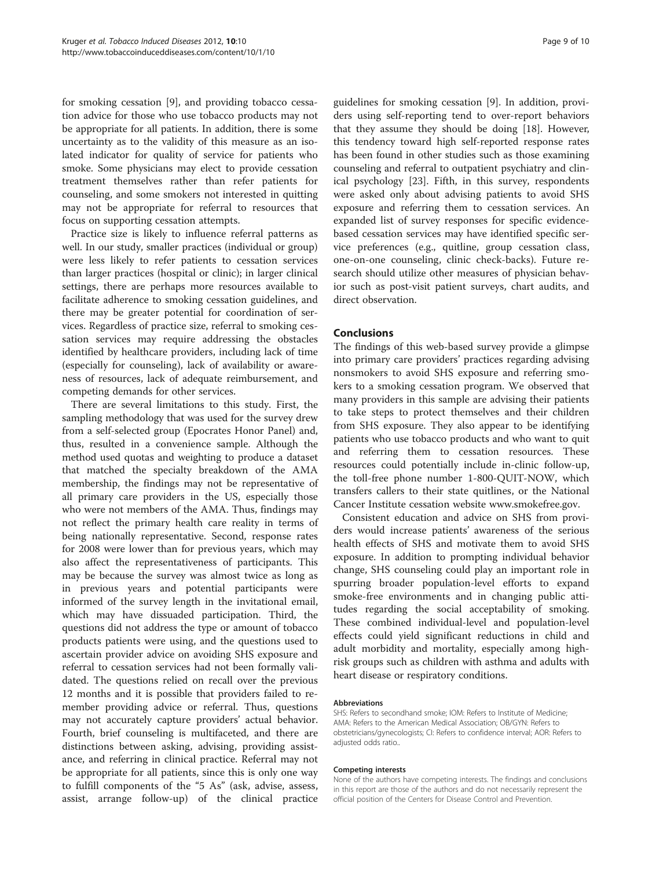for smoking cessation [[9\]](#page-9-0), and providing tobacco cessation advice for those who use tobacco products may not be appropriate for all patients. In addition, there is some uncertainty as to the validity of this measure as an isolated indicator for quality of service for patients who smoke. Some physicians may elect to provide cessation treatment themselves rather than refer patients for counseling, and some smokers not interested in quitting may not be appropriate for referral to resources that focus on supporting cessation attempts.

Practice size is likely to influence referral patterns as well. In our study, smaller practices (individual or group) were less likely to refer patients to cessation services than larger practices (hospital or clinic); in larger clinical settings, there are perhaps more resources available to facilitate adherence to smoking cessation guidelines, and there may be greater potential for coordination of services. Regardless of practice size, referral to smoking cessation services may require addressing the obstacles identified by healthcare providers, including lack of time (especially for counseling), lack of availability or awareness of resources, lack of adequate reimbursement, and competing demands for other services.

There are several limitations to this study. First, the sampling methodology that was used for the survey drew from a self-selected group (Epocrates Honor Panel) and, thus, resulted in a convenience sample. Although the method used quotas and weighting to produce a dataset that matched the specialty breakdown of the AMA membership, the findings may not be representative of all primary care providers in the US, especially those who were not members of the AMA. Thus, findings may not reflect the primary health care reality in terms of being nationally representative. Second, response rates for 2008 were lower than for previous years, which may also affect the representativeness of participants. This may be because the survey was almost twice as long as in previous years and potential participants were informed of the survey length in the invitational email, which may have dissuaded participation. Third, the questions did not address the type or amount of tobacco products patients were using, and the questions used to ascertain provider advice on avoiding SHS exposure and referral to cessation services had not been formally validated. The questions relied on recall over the previous 12 months and it is possible that providers failed to remember providing advice or referral. Thus, questions may not accurately capture providers' actual behavior. Fourth, brief counseling is multifaceted, and there are distinctions between asking, advising, providing assistance, and referring in clinical practice. Referral may not be appropriate for all patients, since this is only one way to fulfill components of the "5 As" (ask, advise, assess, assist, arrange follow-up) of the clinical practice

guidelines for smoking cessation [[9\]](#page-9-0). In addition, providers using self-reporting tend to over-report behaviors that they assume they should be doing [[18\]](#page-9-0). However, this tendency toward high self-reported response rates has been found in other studies such as those examining counseling and referral to outpatient psychiatry and clinical psychology [[23](#page-9-0)]. Fifth, in this survey, respondents were asked only about advising patients to avoid SHS exposure and referring them to cessation services. An expanded list of survey responses for specific evidencebased cessation services may have identified specific service preferences (e.g., quitline, group cessation class, one-on-one counseling, clinic check-backs). Future research should utilize other measures of physician behavior such as post-visit patient surveys, chart audits, and direct observation.

## Conclusions

The findings of this web-based survey provide a glimpse into primary care providers' practices regarding advising nonsmokers to avoid SHS exposure and referring smokers to a smoking cessation program. We observed that many providers in this sample are advising their patients to take steps to protect themselves and their children from SHS exposure. They also appear to be identifying patients who use tobacco products and who want to quit and referring them to cessation resources. These resources could potentially include in-clinic follow-up, the toll-free phone number 1-800-QUIT-NOW, which transfers callers to their state quitlines, or the National Cancer Institute cessation website [www.smokefree.gov.](http://www.smokefree.gov)

Consistent education and advice on SHS from providers would increase patients' awareness of the serious health effects of SHS and motivate them to avoid SHS exposure. In addition to prompting individual behavior change, SHS counseling could play an important role in spurring broader population-level efforts to expand smoke-free environments and in changing public attitudes regarding the social acceptability of smoking. These combined individual-level and population-level effects could yield significant reductions in child and adult morbidity and mortality, especially among highrisk groups such as children with asthma and adults with heart disease or respiratory conditions.

#### Abbreviations

SHS: Refers to secondhand smoke; IOM: Refers to Institute of Medicine; AMA: Refers to the American Medical Association; OB/GYN: Refers to obstetricians/gynecologists; CI: Refers to confidence interval; AOR: Refers to adjusted odds ratio..

#### Competing interests

None of the authors have competing interests. The findings and conclusions in this report are those of the authors and do not necessarily represent the official position of the Centers for Disease Control and Prevention.